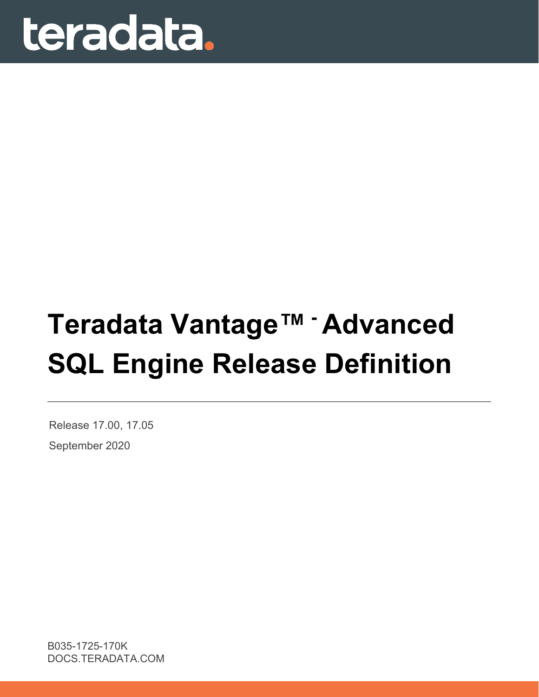

# **Teradata Vantage™ - Advanced SQL Engine Release Definition**

Release 17.00, 17.05 September 2020

B035-1725-170K DOCS.TERADATA.COM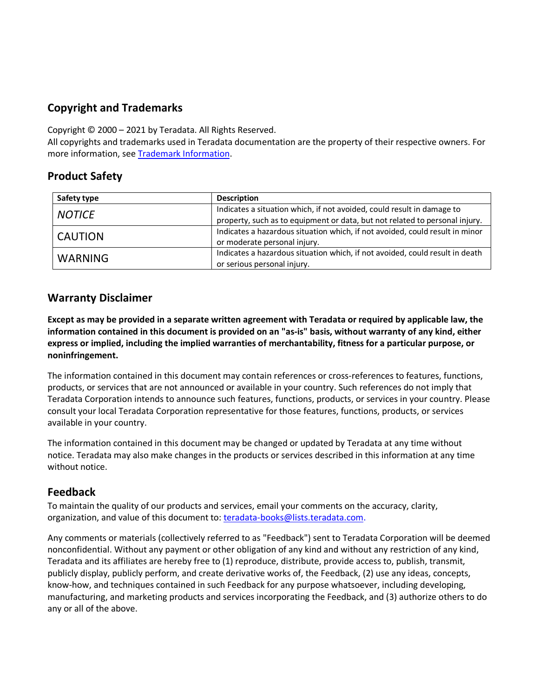#### **Copyright and Trademarks**

Copyright © 2000 – 2021 by Teradata. All Rights Reserved.

All copyrights and trademarks used in Teradata documentation are the property of their respective owners. For more information, see [Trademark Information.](https://sso.teradata.com/oam/?goto=https%3A%2F%2Finfo.teradata.com%2Fdownload.cfm%3FItemID%3D1016375)

#### **Product Safety**

| Safety type    | <b>Description</b>                                                           |  |
|----------------|------------------------------------------------------------------------------|--|
| <b>NOTICE</b>  | Indicates a situation which, if not avoided, could result in damage to       |  |
|                | property, such as to equipment or data, but not related to personal injury.  |  |
| CAUTION        | Indicates a hazardous situation which, if not avoided, could result in minor |  |
|                | or moderate personal injury.                                                 |  |
| <b>WARNING</b> | Indicates a hazardous situation which, if not avoided, could result in death |  |
|                | or serious personal injury.                                                  |  |

#### **Warranty Disclaimer**

**Except as may be provided in a separate written agreement with Teradata or required by applicable law, the information contained in this document is provided on an "as-is" basis, without warranty of any kind, either express or implied, including the implied warranties of merchantability, fitness for a particular purpose, or noninfringement.**

The information contained in this document may contain references or cross-references to features, functions, products, or services that are not announced or available in your country. Such references do not imply that Teradata Corporation intends to announce such features, functions, products, or services in your country. Please consult your local Teradata Corporation representative for those features, functions, products, or services available in your country.

The information contained in this document may be changed or updated by Teradata at any time without notice. Teradata may also make changes in the products or services described in this information at any time without notice.

#### **Feedback**

To maintain the quality of our products and services, email your comments on the accuracy, clarity, organization, and value of this document to: [teradata-books@lists.teradata.com.](mailto:teradata-books@lists.teradata.com)

Any comments or materials (collectively referred to as "Feedback") sent to Teradata Corporation will be deemed nonconfidential. Without any payment or other obligation of any kind and without any restriction of any kind, Teradata and its affiliates are hereby free to (1) reproduce, distribute, provide access to, publish, transmit, publicly display, publicly perform, and create derivative works of, the Feedback, (2) use any ideas, concepts, know-how, and techniques contained in such Feedback for any purpose whatsoever, including developing, manufacturing, and marketing products and services incorporating the Feedback, and (3) authorize others to do any or all of the above.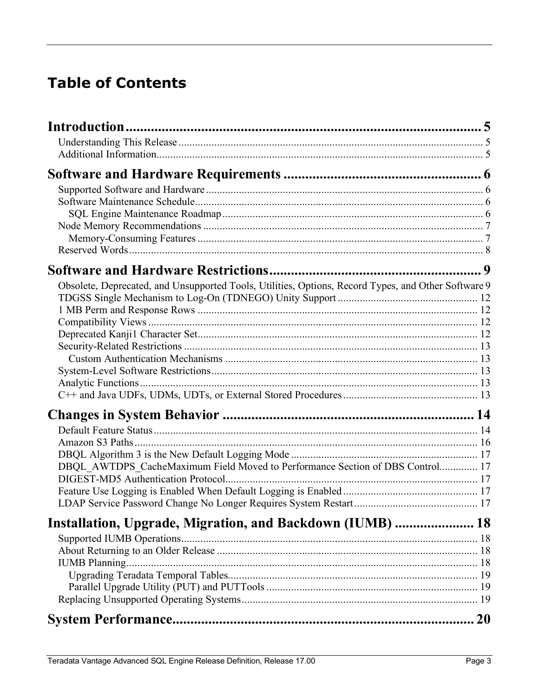#### **Table of Contents**

| Obsolete, Deprecated, and Unsupported Tools, Utilities, Options, Record Types, and Other Software 9 |           |
|-----------------------------------------------------------------------------------------------------|-----------|
|                                                                                                     |           |
|                                                                                                     |           |
|                                                                                                     |           |
|                                                                                                     |           |
|                                                                                                     |           |
|                                                                                                     |           |
|                                                                                                     |           |
|                                                                                                     |           |
|                                                                                                     |           |
|                                                                                                     |           |
|                                                                                                     |           |
|                                                                                                     |           |
|                                                                                                     |           |
| DBQL AWTDPS CacheMaximum Field Moved to Performance Section of DBS Control 17                       |           |
|                                                                                                     |           |
|                                                                                                     |           |
|                                                                                                     |           |
|                                                                                                     |           |
| Installation, Upgrade, Migration, and Backdown (IUMB)  18                                           |           |
|                                                                                                     |           |
|                                                                                                     |           |
|                                                                                                     |           |
|                                                                                                     |           |
|                                                                                                     |           |
|                                                                                                     |           |
|                                                                                                     | <b>20</b> |
|                                                                                                     |           |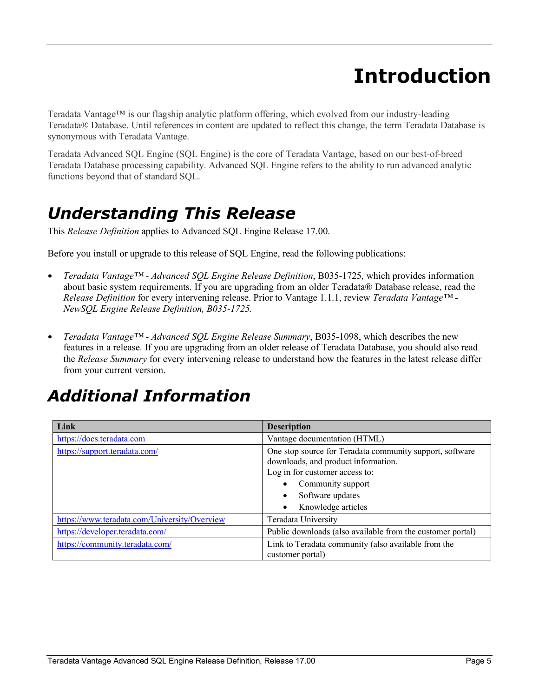## **Introduction**

<span id="page-4-0"></span>Teradata Vantage™ is our flagship analytic platform offering, which evolved from our industry-leading Teradata® Database. Until references in content are updated to reflect this change, the term Teradata Database is synonymous with Teradata Vantage.

Teradata Advanced SQL Engine (SQL Engine) is the core of Teradata Vantage, based on our best-of-breed Teradata Database processing capability. Advanced SQL Engine refers to the ability to run advanced analytic functions beyond that of standard SQL.

### <span id="page-4-1"></span>*Understanding This Release*

This *Release Definition* applies to Advanced SQL Engine Release 17.00.

Before you install or upgrade to this release of SQL Engine, read the following publications:

- *Teradata Vantage™ - Advanced SQL Engine Release Definition*, B035-1725, which provides information about basic system requirements. If you are upgrading from an older Teradata® Database release, read the *Release Definition* for every intervening release. Prior to Vantage 1.1.1, review *Teradata Vantage™ - NewSQL Engine Release Definition, B035-1725.*
- *Teradata Vantage™ - Advanced SQL Engine Release Summary*, B035-1098, which describes the new features in a release. If you are upgrading from an older release of Teradata Database, you should also read the *Release Summary* for every intervening release to understand how the features in the latest release differ from your current version.

### <span id="page-4-2"></span>*Additional Information*

| Link                                         | <b>Description</b>                                                                                                                                                                               |  |
|----------------------------------------------|--------------------------------------------------------------------------------------------------------------------------------------------------------------------------------------------------|--|
| https://docs.teradata.com                    | Vantage documentation (HTML)                                                                                                                                                                     |  |
| https://support.teradata.com/                | One stop source for Teradata community support, software<br>downloads, and product information.<br>Log in for customer access to:<br>Community support<br>Software updates<br>Knowledge articles |  |
| https://www.teradata.com/University/Overview | Teradata University                                                                                                                                                                              |  |
| https://developer.teradata.com/              | Public downloads (also available from the customer portal)                                                                                                                                       |  |
| https://community.teradata.com/              | Link to Teradata community (also available from the<br>customer portal)                                                                                                                          |  |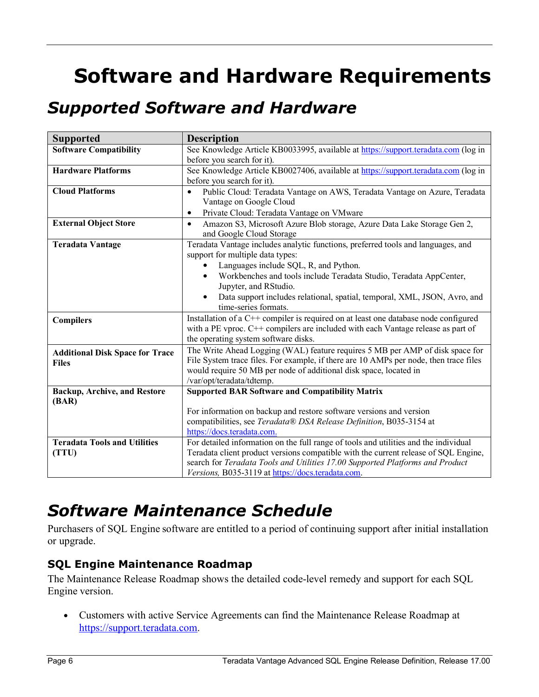## <span id="page-5-0"></span>**Software and Hardware Requirements**

### <span id="page-5-1"></span>*Supported Software and Hardware*

| <b>Supported</b>                       | <b>Description</b>                                                                                                                         |  |  |
|----------------------------------------|--------------------------------------------------------------------------------------------------------------------------------------------|--|--|
| <b>Software Compatibility</b>          | See Knowledge Article KB0033995, available at https://support.teradata.com (log in                                                         |  |  |
|                                        | before you search for it).                                                                                                                 |  |  |
| <b>Hardware Platforms</b>              | See Knowledge Article KB0027406, available at https://support.teradata.com (log in                                                         |  |  |
|                                        | before you search for it).                                                                                                                 |  |  |
| <b>Cloud Platforms</b>                 | Public Cloud: Teradata Vantage on AWS, Teradata Vantage on Azure, Teradata<br>$\bullet$                                                    |  |  |
|                                        | Vantage on Google Cloud                                                                                                                    |  |  |
|                                        | Private Cloud: Teradata Vantage on VMware<br>$\bullet$                                                                                     |  |  |
| <b>External Object Store</b>           | Amazon S3, Microsoft Azure Blob storage, Azure Data Lake Storage Gen 2,<br>$\bullet$                                                       |  |  |
|                                        | and Google Cloud Storage                                                                                                                   |  |  |
| <b>Teradata Vantage</b>                | Teradata Vantage includes analytic functions, preferred tools and languages, and                                                           |  |  |
|                                        | support for multiple data types:                                                                                                           |  |  |
|                                        | Languages include SQL, R, and Python.                                                                                                      |  |  |
|                                        | Workbenches and tools include Teradata Studio, Teradata AppCenter,                                                                         |  |  |
|                                        | Jupyter, and RStudio.                                                                                                                      |  |  |
|                                        | Data support includes relational, spatial, temporal, XML, JSON, Avro, and                                                                  |  |  |
|                                        | time-series formats.                                                                                                                       |  |  |
| <b>Compilers</b>                       | Installation of a C++ compiler is required on at least one database node configured                                                        |  |  |
|                                        | with a PE vproc. C++ compilers are included with each Vantage release as part of                                                           |  |  |
|                                        | the operating system software disks.                                                                                                       |  |  |
| <b>Additional Disk Space for Trace</b> | The Write Ahead Logging (WAL) feature requires 5 MB per AMP of disk space for                                                              |  |  |
| <b>Files</b>                           | File System trace files. For example, if there are 10 AMPs per node, then trace files                                                      |  |  |
|                                        | would require 50 MB per node of additional disk space, located in                                                                          |  |  |
|                                        | /var/opt/teradata/tdtemp.                                                                                                                  |  |  |
| <b>Backup, Archive, and Restore</b>    | <b>Supported BAR Software and Compatibility Matrix</b>                                                                                     |  |  |
| (BAR)                                  |                                                                                                                                            |  |  |
|                                        | For information on backup and restore software versions and version<br>compatibilities, see Teradata® DSA Release Definition, B035-3154 at |  |  |
|                                        | https://docs.teradata.com.                                                                                                                 |  |  |
| <b>Teradata Tools and Utilities</b>    | For detailed information on the full range of tools and utilities and the individual                                                       |  |  |
| (TTU)                                  | Teradata client product versions compatible with the current release of SQL Engine,                                                        |  |  |
|                                        | search for Teradata Tools and Utilities 17.00 Supported Platforms and Product                                                              |  |  |
|                                        | Versions, B035-3119 at https://docs.teradata.com.                                                                                          |  |  |

### <span id="page-5-2"></span>*Software Maintenance Schedule*

Purchasers of SQL Engine software are entitled to a period of continuing support after initial installation or upgrade.

#### <span id="page-5-3"></span>**SQL Engine Maintenance Roadmap**

The Maintenance Release Roadmap shows the detailed code-level remedy and support for each SQL Engine version.

• Customers with active Service Agreements can find the Maintenance Release Roadmap at [https://support.teradata.com.](https://support.teradata.com/)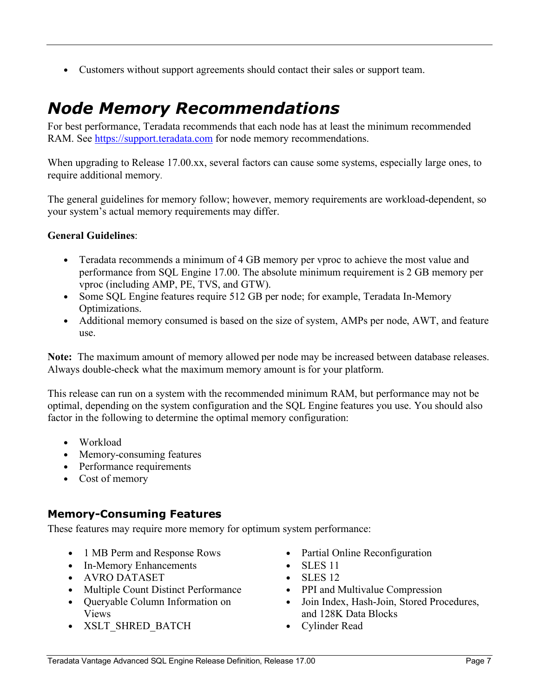• Customers without support agreements should contact their sales or support team.

### <span id="page-6-0"></span>*Node Memory Recommendations*

For best performance, Teradata recommends that each node has at least the minimum recommended RAM. See [https://support.teradata.com](https://support.teradata.com/) for node memory recommendations.

When upgrading to Release 17.00.xx, several factors can cause some systems, especially large ones, to require additional memory.

The general guidelines for memory follow; however, memory requirements are workload-dependent, so your system's actual memory requirements may differ.

#### **General Guidelines**:

- Teradata recommends a minimum of 4 GB memory per vproc to achieve the most value and performance from SQL Engine 17.00. The absolute minimum requirement is 2 GB memory per vproc (including AMP, PE, TVS, and GTW).
- Some SQL Engine features require 512 GB per node; for example, Teradata In-Memory Optimizations.
- Additional memory consumed is based on the size of system, AMPs per node, AWT, and feature use.

**Note:** The maximum amount of memory allowed per node may be increased between database releases. Always double-check what the maximum memory amount is for your platform.

This release can run on a system with the recommended minimum RAM, but performance may not be optimal, depending on the system configuration and the SQL Engine features you use. You should also factor in the following to determine the optimal memory configuration:

- Workload
- Memory-consuming features
- Performance requirements
- Cost of memory

#### <span id="page-6-1"></span>**Memory-Consuming Features**

These features may require more memory for optimum system performance:

- 1 MB Perm and Response Rows
- In-Memory Enhancements
- AVRO DATASET
- Multiple Count Distinct Performance
- Queryable Column Information on Views
- XSLT\_SHRED\_BATCH
- Partial Online Reconfiguration
- $\bullet$  SLES 11
- $\bullet$  SLES 12
- PPI and Multivalue Compression
- Join Index, Hash-Join, Stored Procedures, and 128K Data Blocks
- Cylinder Read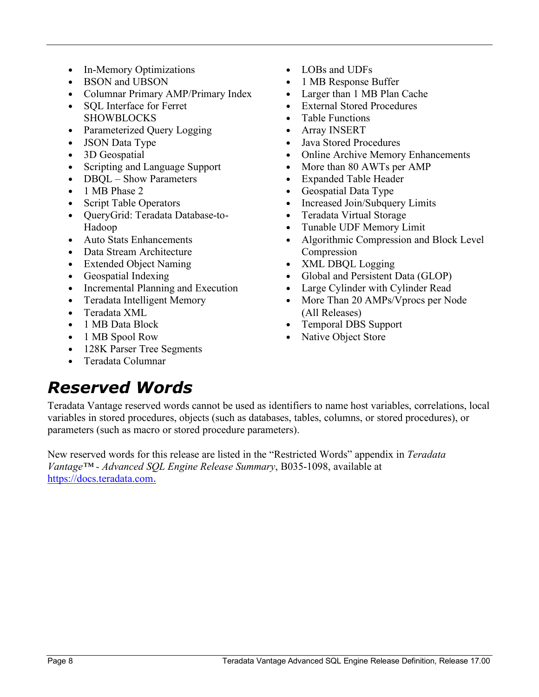- In-Memory Optimizations
- BSON and UBSON
- Columnar Primary AMP/Primary Index
- SQL Interface for Ferret SHOWBLOCKS
- Parameterized Query Logging
- JSON Data Type
- 3D Geospatial
- Scripting and Language Support
- DBQL Show Parameters
- 1 MB Phase 2
- Script Table Operators
- QueryGrid: Teradata Database-to-Hadoop
- Auto Stats Enhancements
- Data Stream Architecture
- Extended Object Naming
- Geospatial Indexing
- Incremental Planning and Execution
- Teradata Intelligent Memory
- Teradata XML
- 1 MB Data Block
- 1 MB Spool Row
- 128K Parser Tree Segments
- Teradata Columnar
- LOBs and UDFs
- 1 MB Response Buffer
- Larger than 1 MB Plan Cache
- **External Stored Procedures**
- Table Functions
- Array INSERT
- Java Stored Procedures
- Online Archive Memory Enhancements
- More than 80 AWTs per AMP
- Expanded Table Header
- Geospatial Data Type
- Increased Join/Subquery Limits
- Teradata Virtual Storage
- Tunable UDF Memory Limit
- Algorithmic Compression and Block Level Compression
- XML DBQL Logging
- Global and Persistent Data (GLOP)
- Large Cylinder with Cylinder Read
- More Than 20 AMPs/Vprocs per Node (All Releases)
- Temporal DBS Support
- Native Object Store

### <span id="page-7-0"></span>*Reserved Words*

Teradata Vantage reserved words cannot be used as identifiers to name host variables, correlations, local variables in stored procedures, objects (such as databases, tables, columns, or stored procedures), or parameters (such as macro or stored procedure parameters).

New reserved words for this release are listed in the "Restricted Words" appendix in *Teradata Vantage™ - Advanced SQL Engine Release Summary*, B035-1098, available at [https://docs.teradata.com](https://docs.teradata.com/landing-page/).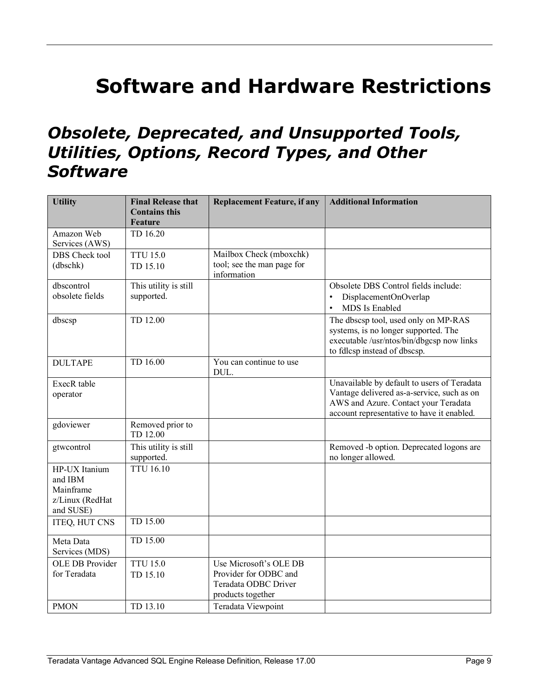## <span id="page-8-0"></span>**Software and Hardware Restrictions**

#### <span id="page-8-1"></span>*Obsolete, Deprecated, and Unsupported Tools, Utilities, Options, Record Types, and Other Software*

| <b>Utility</b>                                                        | <b>Final Release that</b><br><b>Contains this</b><br>Feature | <b>Replacement Feature, if any</b>                                                           | <b>Additional Information</b>                                                                                                                                                   |
|-----------------------------------------------------------------------|--------------------------------------------------------------|----------------------------------------------------------------------------------------------|---------------------------------------------------------------------------------------------------------------------------------------------------------------------------------|
| Amazon Web<br>Services (AWS)                                          | TD 16.20                                                     |                                                                                              |                                                                                                                                                                                 |
| DBS Check tool<br>(dbschk)                                            | <b>TTU 15.0</b><br>TD 15.10                                  | Mailbox Check (mboxchk)<br>tool; see the man page for<br>information                         |                                                                                                                                                                                 |
| dbscontrol<br>obsolete fields                                         | This utility is still<br>supported.                          |                                                                                              | Obsolete DBS Control fields include:<br>DisplacementOnOverlap<br>MDS Is Enabled                                                                                                 |
| dbscsp                                                                | TD 12.00                                                     |                                                                                              | The dbscsp tool, used only on MP-RAS<br>systems, is no longer supported. The<br>executable /usr/ntos/bin/dbgcsp now links<br>to fdlcsp instead of dbscsp.                       |
| <b>DULTAPE</b>                                                        | TD 16.00                                                     | You can continue to use<br>DUL.                                                              |                                                                                                                                                                                 |
| ExecR table<br>operator                                               |                                                              |                                                                                              | Unavailable by default to users of Teradata<br>Vantage delivered as-a-service, such as on<br>AWS and Azure. Contact your Teradata<br>account representative to have it enabled. |
| gdoviewer                                                             | Removed prior to<br>TD 12.00                                 |                                                                                              |                                                                                                                                                                                 |
| gtwcontrol                                                            | This utility is still<br>supported.                          |                                                                                              | Removed -b option. Deprecated logons are<br>no longer allowed.                                                                                                                  |
| HP-UX Itanium<br>and IBM<br>Mainframe<br>z/Linux (RedHat<br>and SUSE) | <b>TTU 16.10</b>                                             |                                                                                              |                                                                                                                                                                                 |
| ITEQ, HUT CNS                                                         | TD 15.00                                                     |                                                                                              |                                                                                                                                                                                 |
| Meta Data<br>Services (MDS)                                           | TD 15.00                                                     |                                                                                              |                                                                                                                                                                                 |
| <b>OLE DB Provider</b><br>for Teradata                                | <b>TTU 15.0</b><br>TD 15.10                                  | Use Microsoft's OLE DB<br>Provider for ODBC and<br>Teradata ODBC Driver<br>products together |                                                                                                                                                                                 |
| <b>PMON</b>                                                           | TD 13.10                                                     | Teradata Viewpoint                                                                           |                                                                                                                                                                                 |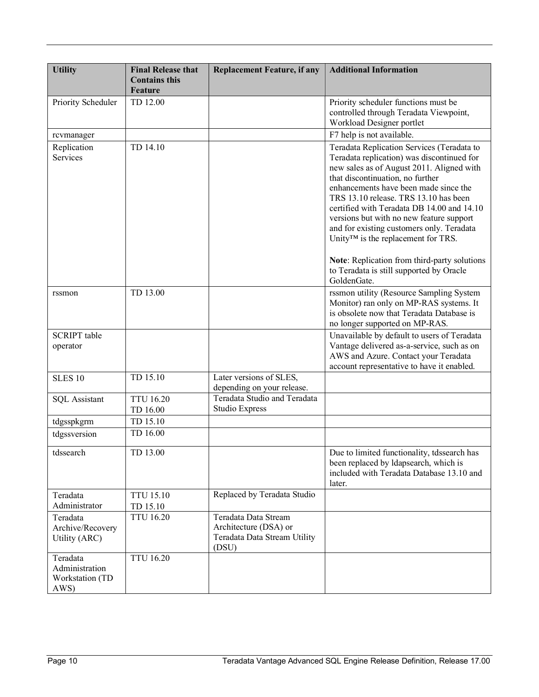| <b>Utility</b>                                        | <b>Final Release that</b><br><b>Contains this</b><br>Feature | <b>Replacement Feature, if any</b>                                                     | <b>Additional Information</b>                                                                                                                                                                                                                                                                                                                                                                                                                                                                                                                       |
|-------------------------------------------------------|--------------------------------------------------------------|----------------------------------------------------------------------------------------|-----------------------------------------------------------------------------------------------------------------------------------------------------------------------------------------------------------------------------------------------------------------------------------------------------------------------------------------------------------------------------------------------------------------------------------------------------------------------------------------------------------------------------------------------------|
| Priority Scheduler                                    | TD 12.00                                                     |                                                                                        | Priority scheduler functions must be<br>controlled through Teradata Viewpoint,<br>Workload Designer portlet                                                                                                                                                                                                                                                                                                                                                                                                                                         |
| rcvmanager                                            |                                                              |                                                                                        | F7 help is not available.                                                                                                                                                                                                                                                                                                                                                                                                                                                                                                                           |
| Replication<br><b>Services</b>                        | TD 14.10                                                     |                                                                                        | Teradata Replication Services (Teradata to<br>Teradata replication) was discontinued for<br>new sales as of August 2011. Aligned with<br>that discontinuation, no further<br>enhancements have been made since the<br>TRS 13.10 release. TRS 13.10 has been<br>certified with Teradata DB 14.00 and 14.10<br>versions but with no new feature support<br>and for existing customers only. Teradata<br>Unity™ is the replacement for TRS.<br>Note: Replication from third-party solutions<br>to Teradata is still supported by Oracle<br>GoldenGate. |
| rssmon                                                | TD 13.00                                                     |                                                                                        | rssmon utility (Resource Sampling System<br>Monitor) ran only on MP-RAS systems. It<br>is obsolete now that Teradata Database is<br>no longer supported on MP-RAS.                                                                                                                                                                                                                                                                                                                                                                                  |
| <b>SCRIPT</b> table<br>operator                       |                                                              |                                                                                        | Unavailable by default to users of Teradata<br>Vantage delivered as-a-service, such as on<br>AWS and Azure. Contact your Teradata<br>account representative to have it enabled.                                                                                                                                                                                                                                                                                                                                                                     |
| <b>SLES 10</b>                                        | TD 15.10                                                     | Later versions of SLES,<br>depending on your release.                                  |                                                                                                                                                                                                                                                                                                                                                                                                                                                                                                                                                     |
| <b>SQL</b> Assistant                                  | <b>TTU 16.20</b><br>TD 16.00                                 | Teradata Studio and Teradata<br>Studio Express                                         |                                                                                                                                                                                                                                                                                                                                                                                                                                                                                                                                                     |
| tdgsspkgrm                                            | TD 15.10                                                     |                                                                                        |                                                                                                                                                                                                                                                                                                                                                                                                                                                                                                                                                     |
| tdgssversion                                          | TD 16.00                                                     |                                                                                        |                                                                                                                                                                                                                                                                                                                                                                                                                                                                                                                                                     |
| tdssearch                                             | TD 13.00                                                     |                                                                                        | Due to limited functionality, tdssearch has<br>been replaced by Idapsearch, which is<br>included with Teradata Database 13.10 and<br>later.                                                                                                                                                                                                                                                                                                                                                                                                         |
| Teradata<br>Administrator                             | <b>TTU 15.10</b><br>TD 15.10                                 | Replaced by Teradata Studio                                                            |                                                                                                                                                                                                                                                                                                                                                                                                                                                                                                                                                     |
| Teradata<br>Archive/Recovery<br>Utility (ARC)         | <b>TTU 16.20</b>                                             | Teradata Data Stream<br>Architecture (DSA) or<br>Teradata Data Stream Utility<br>(DSU) |                                                                                                                                                                                                                                                                                                                                                                                                                                                                                                                                                     |
| Teradata<br>Administration<br>Workstation (TD<br>AWS) | <b>TTU 16.20</b>                                             |                                                                                        |                                                                                                                                                                                                                                                                                                                                                                                                                                                                                                                                                     |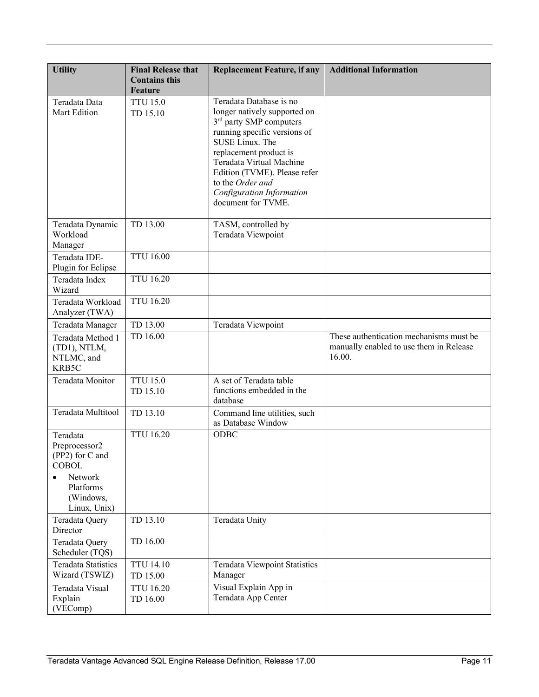| <b>Utility</b>                                                                                                    | <b>Final Release that</b><br><b>Contains this</b><br><b>Feature</b> | <b>Replacement Feature, if any</b>                                                                                                                                                                                                                                                                             | <b>Additional Information</b>                                                                |
|-------------------------------------------------------------------------------------------------------------------|---------------------------------------------------------------------|----------------------------------------------------------------------------------------------------------------------------------------------------------------------------------------------------------------------------------------------------------------------------------------------------------------|----------------------------------------------------------------------------------------------|
| Teradata Data<br>Mart Edition                                                                                     | <b>TTU 15.0</b><br>TD 15.10                                         | Teradata Database is no<br>longer natively supported on<br>3 <sup>rd</sup> party SMP computers<br>running specific versions of<br>SUSE Linux. The<br>replacement product is<br>Teradata Virtual Machine<br>Edition (TVME). Please refer<br>to the Order and<br>Configuration Information<br>document for TVME. |                                                                                              |
| Teradata Dynamic<br>Workload<br>Manager                                                                           | TD 13.00                                                            | TASM, controlled by<br>Teradata Viewpoint                                                                                                                                                                                                                                                                      |                                                                                              |
| Teradata IDE-<br>Plugin for Eclipse                                                                               | <b>TTU 16.00</b>                                                    |                                                                                                                                                                                                                                                                                                                |                                                                                              |
| Teradata Index<br>Wizard                                                                                          | <b>TTU 16.20</b>                                                    |                                                                                                                                                                                                                                                                                                                |                                                                                              |
| Teradata Workload<br>Analyzer (TWA)                                                                               | <b>TTU 16.20</b>                                                    |                                                                                                                                                                                                                                                                                                                |                                                                                              |
| Teradata Manager                                                                                                  | TD 13.00                                                            | Teradata Viewpoint                                                                                                                                                                                                                                                                                             |                                                                                              |
| Teradata Method 1<br>(TD1), NTLM,<br>NTLMC, and<br>KRB5C                                                          | TD 16.00                                                            |                                                                                                                                                                                                                                                                                                                | These authentication mechanisms must be<br>manually enabled to use them in Release<br>16.00. |
| Teradata Monitor                                                                                                  | <b>TTU 15.0</b><br>TD 15.10                                         | A set of Teradata table<br>functions embedded in the<br>database                                                                                                                                                                                                                                               |                                                                                              |
| Teradata Multitool                                                                                                | TD 13.10                                                            | Command line utilities, such<br>as Database Window                                                                                                                                                                                                                                                             |                                                                                              |
| Teradata<br>Preprocessor2<br>(PP2) for C and<br><b>COBOL</b><br>Network<br>Platforms<br>(Windows,<br>Linux, Unix) | <b>TTU 16.20</b>                                                    | ODBC                                                                                                                                                                                                                                                                                                           |                                                                                              |
| Teradata Query<br>Director                                                                                        | TD 13.10                                                            | Teradata Unity                                                                                                                                                                                                                                                                                                 |                                                                                              |
| Teradata Query<br>Scheduler (TQS)                                                                                 | TD 16.00                                                            |                                                                                                                                                                                                                                                                                                                |                                                                                              |
| <b>Teradata Statistics</b><br>Wizard (TSWIZ)                                                                      | <b>TTU 14.10</b><br>TD 15.00                                        | <b>Teradata Viewpoint Statistics</b><br>Manager                                                                                                                                                                                                                                                                |                                                                                              |
| Teradata Visual<br>Explain<br>(VEComp)                                                                            | <b>TTU 16.20</b><br>TD 16.00                                        | Visual Explain App in<br>Teradata App Center                                                                                                                                                                                                                                                                   |                                                                                              |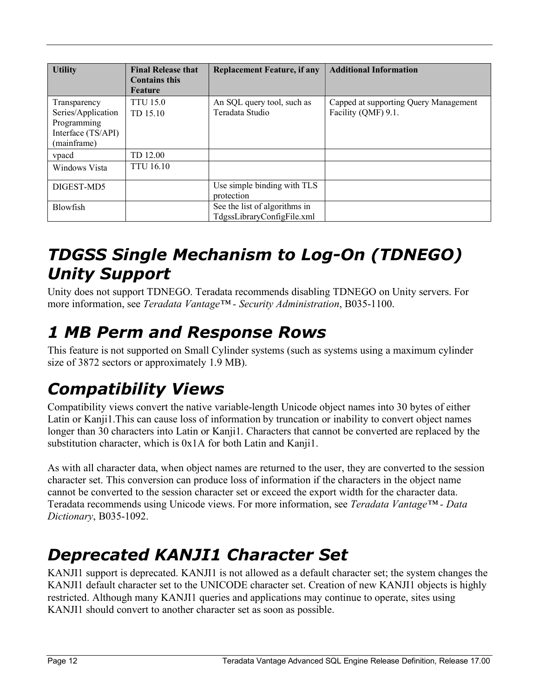| <b>Utility</b>                                                                         | <b>Final Release that</b><br><b>Contains this</b><br><b>Feature</b> | <b>Replacement Feature, if any</b>                          | <b>Additional Information</b>                                |
|----------------------------------------------------------------------------------------|---------------------------------------------------------------------|-------------------------------------------------------------|--------------------------------------------------------------|
| Transparency<br>Series/Application<br>Programming<br>Interface (TS/API)<br>(mainframe) | <b>TTU 15.0</b><br>TD 15.10                                         | An SQL query tool, such as<br>Teradata Studio               | Capped at supporting Query Management<br>Facility (QMF) 9.1. |
| vpacd                                                                                  | TD 12.00                                                            |                                                             |                                                              |
| Windows Vista                                                                          | <b>TTU 16.10</b>                                                    |                                                             |                                                              |
| DIGEST-MD5                                                                             |                                                                     | Use simple binding with TLS<br>protection                   |                                                              |
| <b>Blowfish</b>                                                                        |                                                                     | See the list of algorithms in<br>TdgssLibraryConfigFile.xml |                                                              |

#### <span id="page-11-0"></span>*TDGSS Single Mechanism to Log-On (TDNEGO) Unity Support*

Unity does not support TDNEGO. Teradata recommends disabling TDNEGO on Unity servers. For more information, see *Teradata Vantage™ - Security Administration*, B035-1100.

### <span id="page-11-1"></span>*1 MB Perm and Response Rows*

This feature is not supported on Small Cylinder systems (such as systems using a maximum cylinder size of 3872 sectors or approximately 1.9 MB).

### <span id="page-11-2"></span>*Compatibility Views*

Compatibility views convert the native variable-length Unicode object names into 30 bytes of either Latin or Kanji1.This can cause loss of information by truncation or inability to convert object names longer than 30 characters into Latin or Kanji1. Characters that cannot be converted are replaced by the substitution character, which is 0x1A for both Latin and Kanji1.

As with all character data, when object names are returned to the user, they are converted to the session character set. This conversion can produce loss of information if the characters in the object name cannot be converted to the session character set or exceed the export width for the character data. Teradata recommends using Unicode views. For more information, see *Teradata Vantage™ - Data Dictionary*, B035-1092.

### <span id="page-11-3"></span>*Deprecated KANJI1 Character Set*

KANJI1 support is deprecated. KANJI1 is not allowed as a default character set; the system changes the KANJI1 default character set to the UNICODE character set. Creation of new KANJI1 objects is highly restricted. Although many KANJI1 queries and applications may continue to operate, sites using KANJI1 should convert to another character set as soon as possible.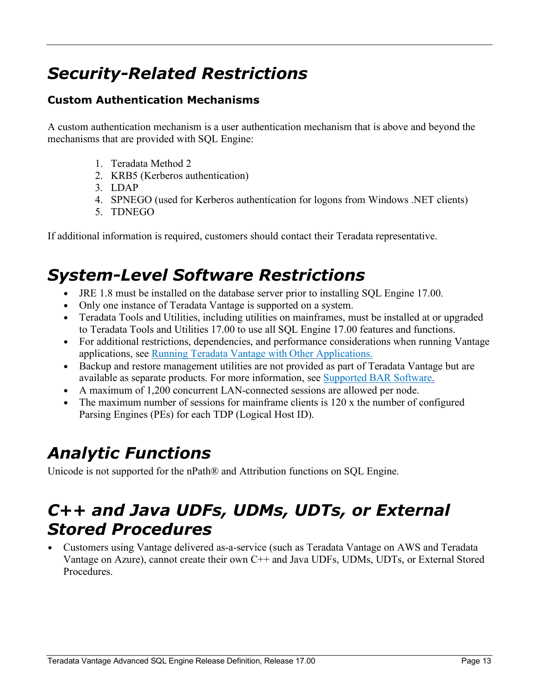### <span id="page-12-0"></span>*Security-Related Restrictions*

#### <span id="page-12-1"></span>**Custom Authentication Mechanisms**

A custom authentication mechanism is a user authentication mechanism that is above and beyond the mechanisms that are provided with SQL Engine:

- 1. Teradata Method 2
- 2. KRB5 (Kerberos authentication)
- 3. LDAP
- 4. SPNEGO (used for Kerberos authentication for logons from Windows .NET clients)
- 5. TDNEGO

If additional information is required, customers should contact their Teradata representative.

#### <span id="page-12-2"></span>*System-Level Software Restrictions*

- JRE 1.8 must be installed on the database server prior to installing SQL Engine 17.00.
- Only one instance of Teradata Vantage is supported on a system.
- Teradata Tools and Utilities, including utilities on mainframes, must be installed at or upgraded to Teradata Tools and Utilities 17.00 to use all SQL Engine 17.00 features and functions.
- For additional restrictions, dependencies, and performance considerations when running Vantage applications, see [Running Teradata Vantage with Other Applications.](#page-19-2)
- Backup and restore management utilities are not provided as part of Teradata Vantage but are available as separate products. For more information, see [Supported BAR Software.](#page-5-0)
- A maximum of 1,200 concurrent LAN-connected sessions are allowed per node.
- The maximum number of sessions for mainframe clients is  $120 \times$  the number of configured Parsing Engines (PEs) for each TDP (Logical Host ID).

#### <span id="page-12-3"></span>*Analytic Functions*

Unicode is not supported for the nPath® and Attribution functions on SQL Engine.

#### <span id="page-12-4"></span>*C++ and Java UDFs, UDMs, UDTs, or External Stored Procedures*

<span id="page-12-5"></span>• Customers using Vantage delivered as-a-service (such as Teradata Vantage on AWS and Teradata Vantage on Azure), cannot create their own C++ and Java UDFs, UDMs, UDTs, or External Stored Procedures.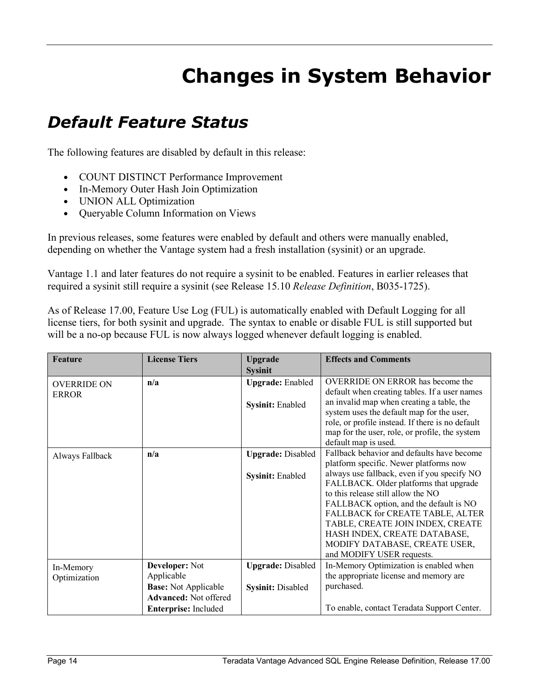## **Changes in System Behavior**

#### <span id="page-13-1"></span><span id="page-13-0"></span>*Default Feature Status*

The following features are disabled by default in this release:

- COUNT DISTINCT Performance Improvement
- In-Memory Outer Hash Join Optimization
- UNION ALL Optimization
- Queryable Column Information on Views

In previous releases, some features were enabled by default and others were manually enabled, depending on whether the Vantage system had a fresh installation (sysinit) or an upgrade.

Vantage 1.1 and later features do not require a sysinit to be enabled. Features in earlier releases that required a sysinit still require a sysinit (see Release 15.10 *Release Definition*, B035-1725).

As of Release 17.00, Feature Use Log (FUL) is automatically enabled with Default Logging for all license tiers, for both sysinit and upgrade. The syntax to enable or disable FUL is still supported but will be a no-op because FUL is now always logged whenever default logging is enabled.

| Feature            | <b>License Tiers</b>         | <b>Upgrade</b>           | <b>Effects and Comments</b>                      |
|--------------------|------------------------------|--------------------------|--------------------------------------------------|
|                    |                              | <b>Sysinit</b>           |                                                  |
| <b>OVERRIDE ON</b> | n/a                          | <b>Upgrade:</b> Enabled  | OVERRIDE ON ERROR has become the                 |
| <b>ERROR</b>       |                              |                          | default when creating tables. If a user names    |
|                    |                              | Sysinit: Enabled         | an invalid map when creating a table, the        |
|                    |                              |                          | system uses the default map for the user,        |
|                    |                              |                          | role, or profile instead. If there is no default |
|                    |                              |                          | map for the user, role, or profile, the system   |
|                    |                              |                          | default map is used.                             |
| Always Fallback    | n/a                          | <b>Upgrade: Disabled</b> | Fallback behavior and defaults have become       |
|                    |                              |                          | platform specific. Newer platforms now           |
|                    |                              | <b>Sysinit: Enabled</b>  | always use fallback, even if you specify NO      |
|                    |                              |                          | FALLBACK. Older platforms that upgrade           |
|                    |                              |                          | to this release still allow the NO               |
|                    |                              |                          | FALLBACK option, and the default is NO           |
|                    |                              |                          | FALLBACK for CREATE TABLE, ALTER                 |
|                    |                              |                          | TABLE, CREATE JOIN INDEX, CREATE                 |
|                    |                              |                          | HASH INDEX, CREATE DATABASE,                     |
|                    |                              |                          | MODIFY DATABASE, CREATE USER,                    |
|                    |                              |                          | and MODIFY USER requests.                        |
| In-Memory          | <b>Developer:</b> Not        | <b>Upgrade: Disabled</b> | In-Memory Optimization is enabled when           |
| Optimization       | Applicable                   |                          | the appropriate license and memory are           |
|                    | <b>Base:</b> Not Applicable  | <b>Sysinit: Disabled</b> | purchased.                                       |
|                    | <b>Advanced: Not offered</b> |                          |                                                  |
|                    | Enterprise: Included         |                          | To enable, contact Teradata Support Center.      |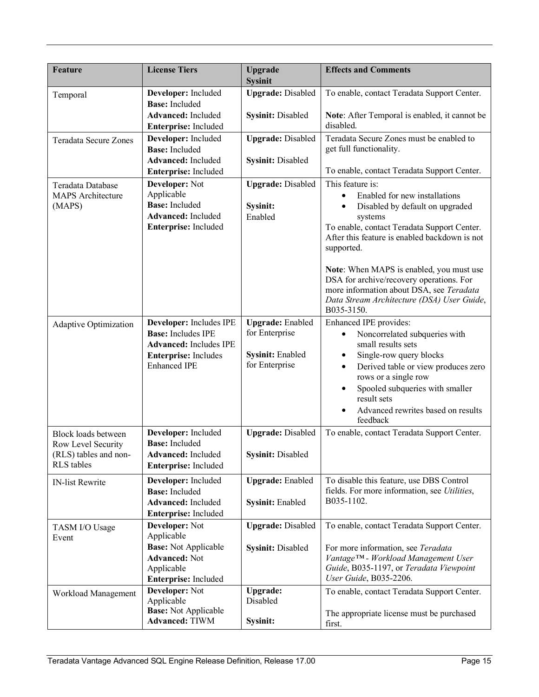| Feature                                                                          | <b>License Tiers</b>                                                                                                                        | <b>Upgrade</b><br><b>Sysinit</b>                                                | <b>Effects and Comments</b>                                                                                                                                                                                                                                                                                                                                                                                                |
|----------------------------------------------------------------------------------|---------------------------------------------------------------------------------------------------------------------------------------------|---------------------------------------------------------------------------------|----------------------------------------------------------------------------------------------------------------------------------------------------------------------------------------------------------------------------------------------------------------------------------------------------------------------------------------------------------------------------------------------------------------------------|
| Temporal                                                                         | Developer: Included<br><b>Base:</b> Included<br><b>Advanced:</b> Included                                                                   | <b>Upgrade: Disabled</b><br>Sysinit: Disabled                                   | To enable, contact Teradata Support Center.<br>Note: After Temporal is enabled, it cannot be                                                                                                                                                                                                                                                                                                                               |
|                                                                                  | Enterprise: Included                                                                                                                        |                                                                                 | disabled.                                                                                                                                                                                                                                                                                                                                                                                                                  |
| Teradata Secure Zones                                                            | Developer: Included<br><b>Base:</b> Included<br><b>Advanced: Included</b><br>Enterprise: Included                                           | <b>Upgrade: Disabled</b><br><b>Sysinit: Disabled</b>                            | Teradata Secure Zones must be enabled to<br>get full functionality.<br>To enable, contact Teradata Support Center.                                                                                                                                                                                                                                                                                                         |
| Teradata Database<br><b>MAPS</b> Architecture<br>(MAPS)                          | Developer: Not<br>Applicable<br><b>Base:</b> Included<br><b>Advanced:</b> Included<br>Enterprise: Included                                  | <b>Upgrade: Disabled</b><br>Sysinit:<br>Enabled                                 | This feature is:<br>Enabled for new installations<br>$\bullet$<br>Disabled by default on upgraded<br>systems<br>To enable, contact Teradata Support Center.<br>After this feature is enabled backdown is not<br>supported.<br>Note: When MAPS is enabled, you must use<br>DSA for archive/recovery operations. For<br>more information about DSA, see Teradata<br>Data Stream Architecture (DSA) User Guide,<br>B035-3150. |
| Adaptive Optimization                                                            | Developer: Includes IPE<br><b>Base:</b> Includes IPE<br><b>Advanced: Includes IPE</b><br><b>Enterprise:</b> Includes<br><b>Enhanced IPE</b> | <b>Upgrade:</b> Enabled<br>for Enterprise<br>Sysinit: Enabled<br>for Enterprise | Enhanced IPE provides:<br>Noncorrelated subqueries with<br>small results sets<br>Single-row query blocks<br>٠<br>Derived table or view produces zero<br>$\bullet$<br>rows or a single row<br>Spooled subqueries with smaller<br>result sets<br>Advanced rewrites based on results<br>feedback                                                                                                                              |
| Block loads between<br>Row Level Security<br>(RLS) tables and non-<br>RLS tables | Developer: Included<br><b>Base:</b> Included<br><b>Advanced:</b> Included<br>Enterprise: Included                                           | <b>Upgrade: Disabled</b><br><b>Sysinit: Disabled</b>                            | To enable, contact Teradata Support Center.                                                                                                                                                                                                                                                                                                                                                                                |
| IN-list Rewrite                                                                  | Developer: Included<br><b>Base:</b> Included<br><b>Advanced:</b> Included<br>Enterprise: Included                                           | <b>Upgrade:</b> Enabled<br>Sysinit: Enabled                                     | To disable this feature, use DBS Control<br>fields. For more information, see Utilities,<br>B035-1102.                                                                                                                                                                                                                                                                                                                     |
| TASM I/O Usage<br>Event                                                          | Developer: Not<br>Applicable<br><b>Base:</b> Not Applicable<br><b>Advanced: Not</b><br>Applicable<br>Enterprise: Included                   | <b>Upgrade: Disabled</b><br><b>Sysinit: Disabled</b>                            | To enable, contact Teradata Support Center.<br>For more information, see Teradata<br>Vantage <sup>TM</sup> - Workload Management User<br>Guide, B035-1197, or Teradata Viewpoint<br>User Guide, B035-2206.                                                                                                                                                                                                                 |
| Workload Management                                                              | Developer: Not<br>Applicable<br><b>Base:</b> Not Applicable<br><b>Advanced: TIWM</b>                                                        | <b>Upgrade:</b><br>Disabled<br>Sysinit:                                         | To enable, contact Teradata Support Center.<br>The appropriate license must be purchased<br>first.                                                                                                                                                                                                                                                                                                                         |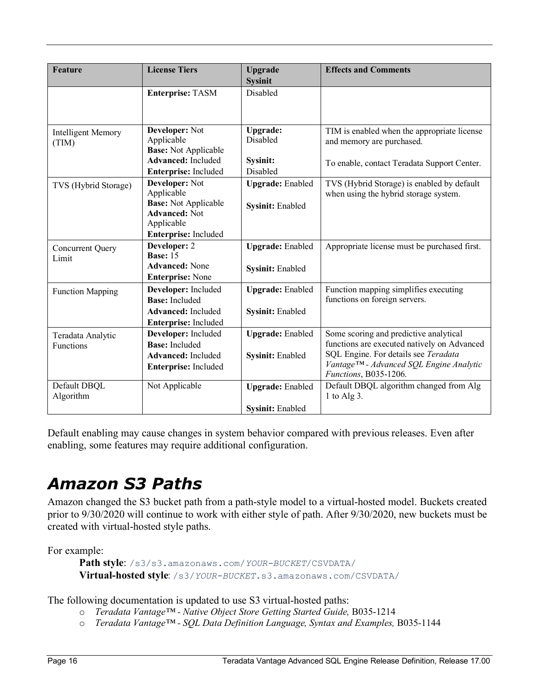| Feature                   | <b>License Tiers</b>                                | <b>Upgrade</b>          | <b>Effects and Comments</b>                                                         |
|---------------------------|-----------------------------------------------------|-------------------------|-------------------------------------------------------------------------------------|
|                           |                                                     | <b>Sysinit</b>          |                                                                                     |
|                           | <b>Enterprise: TASM</b>                             | Disabled                |                                                                                     |
|                           |                                                     |                         |                                                                                     |
| <b>Intelligent Memory</b> | Developer: Not                                      | Upgrade:                | TIM is enabled when the appropriate license                                         |
| (TIM)                     | Applicable<br><b>Base:</b> Not Applicable           | Disabled                | and memory are purchased.                                                           |
|                           | <b>Advanced:</b> Included                           | Sysinit:                | To enable, contact Teradata Support Center.                                         |
|                           | Enterprise: Included                                | Disabled                |                                                                                     |
| TVS (Hybrid Storage)      | Developer: Not<br>Applicable                        | <b>Upgrade:</b> Enabled | TVS (Hybrid Storage) is enabled by default<br>when using the hybrid storage system. |
|                           | <b>Base:</b> Not Applicable<br><b>Advanced: Not</b> | Sysinit: Enabled        |                                                                                     |
|                           | Applicable                                          |                         |                                                                                     |
|                           | Enterprise: Included                                |                         |                                                                                     |
| <b>Concurrent Query</b>   | Developer: 2<br><b>Base: 15</b>                     | <b>Upgrade:</b> Enabled | Appropriate license must be purchased first.                                        |
| Limit                     | <b>Advanced:</b> None                               |                         |                                                                                     |
|                           | <b>Enterprise: None</b>                             | <b>Sysinit: Enabled</b> |                                                                                     |
| <b>Function Mapping</b>   | Developer: Included                                 | <b>Upgrade:</b> Enabled | Function mapping simplifies executing                                               |
|                           | <b>Base:</b> Included                               |                         | functions on foreign servers.                                                       |
|                           | <b>Advanced:</b> Included                           | Sysinit: Enabled        |                                                                                     |
|                           | Enterprise: Included                                |                         |                                                                                     |
| Teradata Analytic         | Developer: Included                                 | <b>Upgrade:</b> Enabled | Some scoring and predictive analytical                                              |
| Functions                 | <b>Base:</b> Included                               |                         | functions are executed natively on Advanced                                         |
|                           | <b>Advanced:</b> Included                           | Sysinit: Enabled        | SQL Engine. For details see Teradata                                                |
|                           | Enterprise: Included                                |                         | Vantage™ - Advanced SQL Engine Analytic<br>Functions, B035-1206.                    |
| Default DBQL<br>Algorithm | Not Applicable                                      | <b>Upgrade:</b> Enabled | Default DBQL algorithm changed from Alg<br>1 to Alg $3$ .                           |
|                           |                                                     | <b>Sysinit: Enabled</b> |                                                                                     |
|                           |                                                     |                         |                                                                                     |

Default enabling may cause changes in system behavior compared with previous releases. Even after enabling, some features may require additional configuration.

### <span id="page-15-0"></span>*Amazon S3 Paths*

Amazon changed the S3 bucket path from a path-style model to a virtual-hosted model. Buckets created prior to 9/30/2020 will continue to work with either style of path. After 9/30/2020, new buckets must be created with virtual-hosted style paths.

For example:

```
Path style: /s3/s3.amazonaws.com/YOUR-BUCKET/CSVDATA/
Virtual-hosted style: /s3/YOUR-BUCKET.s3.amazonaws.com/CSVDATA/
```
The following documentation is updated to use S3 virtual-hosted paths:

- o *Teradata Vantage™ - Native Object Store Getting Started Guide,* B035-1214
- o *Teradata Vantage™ - SQL Data Definition Language, Syntax and Examples,* B035-1144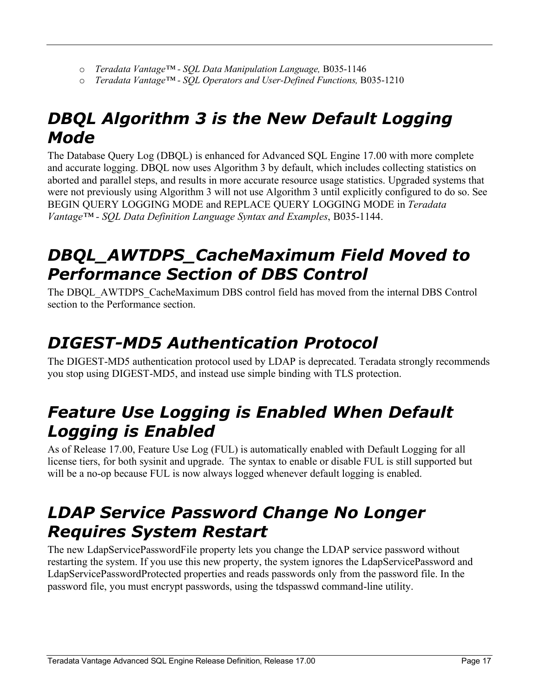- o *Teradata Vantage™ - SQL Data Manipulation Language,* B035-1146
- o *Teradata Vantage™ - SQL Operators and User-Defined Functions,* B035-1210

#### <span id="page-16-0"></span>*DBQL Algorithm 3 is the New Default Logging Mode*

The Database Query Log (DBQL) is enhanced for Advanced SQL Engine 17.00 with more complete and accurate logging. DBQL now uses Algorithm 3 by default, which includes collecting statistics on aborted and parallel steps, and results in more accurate resource usage statistics. Upgraded systems that were not previously using Algorithm 3 will not use Algorithm 3 until explicitly configured to do so. See BEGIN QUERY LOGGING MODE and REPLACE QUERY LOGGING MODE in *Teradata Vantage™ - SQL Data Definition Language Syntax and Examples*, B035-1144.

#### <span id="page-16-1"></span>*DBQL\_AWTDPS\_CacheMaximum Field Moved to Performance Section of DBS Control*

The DBQL\_AWTDPS\_CacheMaximum DBS control field has moved from the internal DBS Control section to the Performance section.

### <span id="page-16-2"></span>*DIGEST-MD5 Authentication Protocol*

The DIGEST-MD5 authentication protocol used by LDAP is deprecated. Teradata strongly recommends you stop using DIGEST-MD5, and instead use simple binding with TLS protection.

#### <span id="page-16-3"></span>*Feature Use Logging is Enabled When Default Logging is Enabled*

As of Release 17.00, Feature Use Log (FUL) is automatically enabled with Default Logging for all license tiers, for both sysinit and upgrade. The syntax to enable or disable FUL is still supported but will be a no-op because FUL is now always logged whenever default logging is enabled.

#### <span id="page-16-4"></span>*LDAP Service Password Change No Longer Requires System Restart*

The new LdapServicePasswordFile property lets you change the LDAP service password without restarting the system. If you use this new property, the system ignores the LdapServicePassword and LdapServicePasswordProtected properties and reads passwords only from the password file. In the password file, you must encrypt passwords, using the tdspasswd command-line utility.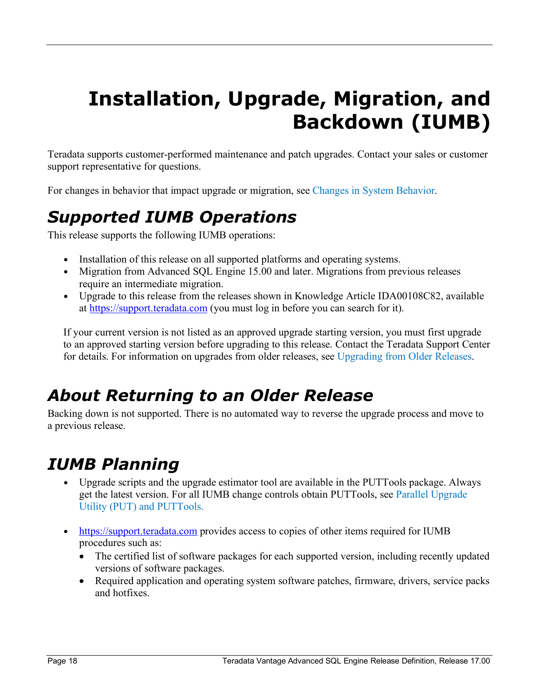## <span id="page-17-0"></span>**Installation, Upgrade, Migration, and Backdown (IUMB)**

Teradata supports customer-performed maintenance and patch upgrades. Contact your sales or customer support representative for questions.

<span id="page-17-1"></span>For changes in behavior that impact upgrade or migration, see [Changes in System Behavior.](#page-12-5)

### *Supported IUMB Operations*

This release supports the following IUMB operations:

- Installation of this release on all supported platforms and operating systems.
- Migration from Advanced SQL Engine 15.00 and later. Migrations from previous releases require an intermediate migration.
- Upgrade to this release from the releases shown in Knowledge Article IDA00108C82, available at [https://support.teradata.com](https://support.teradata.com/) (you must log in before you can search for it).

If your current version is not listed as an approved upgrade starting version, you must first upgrade to an approved starting version before upgrading to this release. Contact the Teradata Support Center for details. For information on upgrades from older releases, see Upgrading from Older Releases.

#### <span id="page-17-2"></span>*About Returning to an Older Release*

Backing down is not supported. There is no automated way to reverse the upgrade process and move to a previous release.

#### <span id="page-17-3"></span>*IUMB Planning*

- Upgrade scripts and the upgrade estimator tool are available in the PUTTools package. Always get the latest version. For all IUMB change controls obtain PUTTools, see [Parallel Upgrade](#page-18-1)  [Utility \(PUT\) and PUTTools.](#page-18-1)
- [https://support.teradata.com](https://support.teradata.com/) provides access to copies of other items required for IUMB procedures such as:
	- The certified list of software packages for each supported version, including recently updated versions of software packages.
	- Required application and operating system software patches, firmware, drivers, service packs and hotfixes.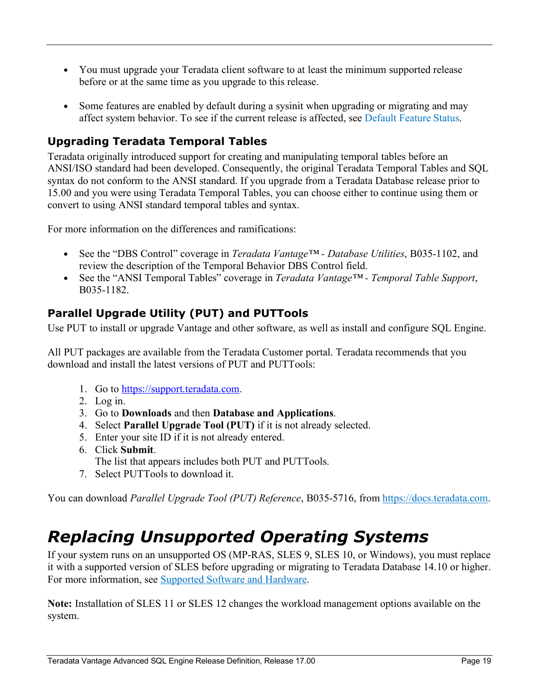- You must upgrade your Teradata client software to at least the minimum supported release before or at the same time as you upgrade to this release.
- Some features are enabled by default during a sysinit when upgrading or migrating and may affect system behavior. To see if the current release is affected, see [Default Feature Status.](#page-13-1)

#### <span id="page-18-0"></span>**Upgrading Teradata Temporal Tables**

Teradata originally introduced support for creating and manipulating temporal tables before an ANSI/ISO standard had been developed. Consequently, the original Teradata Temporal Tables and SQL syntax do not conform to the ANSI standard. If you upgrade from a Teradata Database release prior to 15.00 and you were using Teradata Temporal Tables, you can choose either to continue using them or convert to using ANSI standard temporal tables and syntax.

For more information on the differences and ramifications:

- See the "DBS Control" coverage in *Teradata Vantage™ - Database Utilities*, B035-1102, and review the description of the Temporal Behavior DBS Control field.
- See the "ANSI Temporal Tables" coverage in *Teradata Vantage™ - Temporal Table Support*, B035-1182.

#### <span id="page-18-1"></span>**Parallel Upgrade Utility (PUT) and PUTTools**

Use PUT to install or upgrade Vantage and other software, as well as install and configure SQL Engine.

All PUT packages are available from the Teradata Customer portal. Teradata recommends that you download and install the latest versions of PUT and PUTTools:

- 1. Go to [https://support.teradata.com.](https://support.teradata.com/)
- 2. Log in.
- 3. Go to **Downloads** and then **Database and Applications**.
- 4. Select **Parallel Upgrade Tool (PUT)** if it is not already selected.
- 5. Enter your site ID if it is not already entered.
- 6. Click **Submit**.
- The list that appears includes both PUT and PUTTools.
- 7. Select PUTTools to download it.

You can download *Parallel Upgrade Tool (PUT) Reference*, B035-5716, from [https://docs.teradata.com.](https://docs.teradata.com/landing-page/)

#### <span id="page-18-2"></span>*Replacing Unsupported Operating Systems*

If your system runs on an unsupported OS (MP-RAS, SLES 9, SLES 10, or Windows), you must replace it with a supported version of SLES before upgrading or migrating to Teradata Database 14.10 or higher. For more information, see [Supported Software and Hardware.](#page-5-1)

**Note:** Installation of SLES 11 or SLES 12 changes the workload management options available on the system.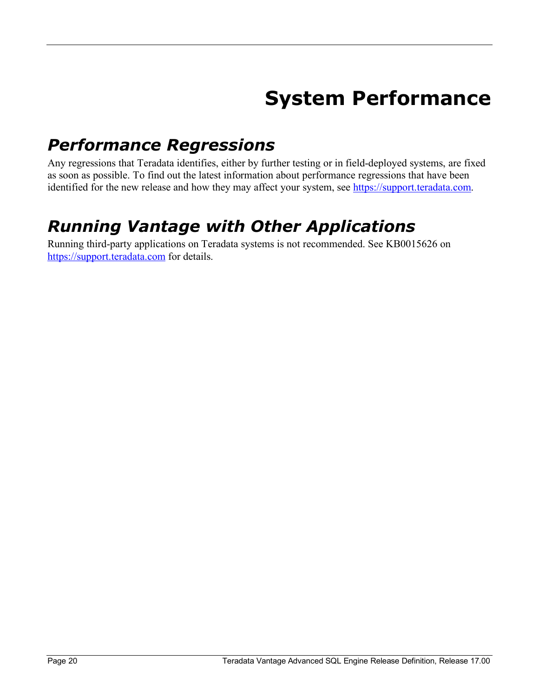## **System Performance**

#### <span id="page-19-1"></span><span id="page-19-0"></span>*Performance Regressions*

Any regressions that Teradata identifies, either by further testing or in field-deployed systems, are fixed as soon as possible. To find out the latest information about performance regressions that have been identified for the new release and how they may affect your system, see [https://support.teradata.com.](https://support.teradata.com/)

### <span id="page-19-2"></span>*Running Vantage with Other Applications*

Running third-party applications on Teradata systems is not recommended. See KB0015626 on [https://support.teradata.com](https://support.teradata.com/) for details.